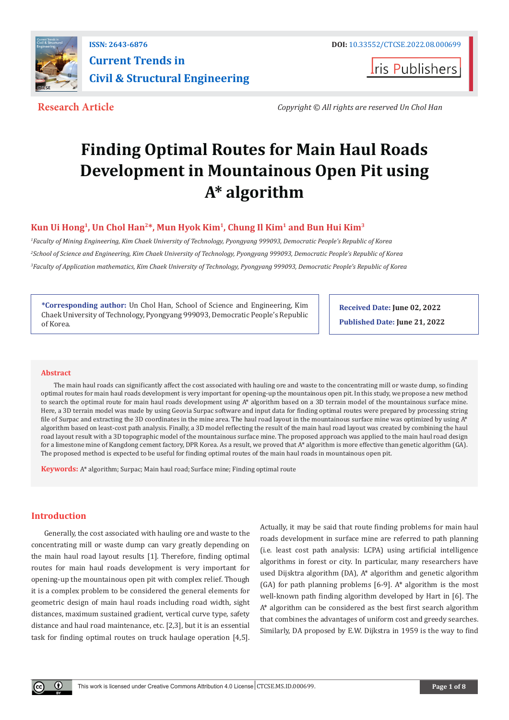

**I**ris Publishers

**Research Article** *Copyright © All rights are reserved Un Chol Han*

# **Finding Optimal Routes for Main Haul Roads Development in Mountainous Open Pit using A\* algorithm**

## **Kun Ui Hong1, Un Chol Han2\*, Mun Hyok Kim1, Chung Il Kim1 and Bun Hui Kim3**

*1 Faculty of Mining Engineering, Kim Chaek University of Technology, Pyongyang 999093, Democratic People's Republic of Korea 2 School of Science and Engineering, Kim Chaek University of Technology, Pyongyang 999093, Democratic People's Republic of Korea 3 Faculty of Application mathematics, Kim Chaek University of Technology, Pyongyang 999093, Democratic People's Republic of Korea*

**\*Corresponding author:** Un Chol Han, School of Science and Engineering, Kim Chaek University of Technology, Pyongyang 999093, Democratic People's Republic of Korea.

**Received Date: June 02, 2022 Published Date: June 21, 2022**

#### **Abstract**

The main haul roads can significantly affect the cost associated with hauling ore and waste to the concentrating mill or waste dump, so finding optimal routes for main haul roads development is very important for opening-up the mountainous open pit. In this study, we propose a new method to search the optimal route for main haul roads development using A\* algorithm based on a 3D terrain model of the mountainous surface mine. Here, a 3D terrain model was made by using Geovia Surpac software and input data for finding optimal routes were prepared by processing string file of Surpac and extracting the 3D coordinates in the mine area. The haul road layout in the mountainous surface mine was optimized by using  $A^*$ algorithm based on least-cost path analysis. Finally, a 3D model reflecting the result of the main haul road layout was created by combining the haul road layout result with a 3D topographic model of the mountainous surface mine. The proposed approach was applied to the main haul road design for a limestone mine of Kangdong cement factory, DPR Korea. As a result, we proved that A\* algorithm is more effective than genetic algorithm (GA). The proposed method is expected to be useful for finding optimal routes of the main haul roads in mountainous open pit.

**Keywords:** A\* algorithm; Surpac; Main haul road; Surface mine; Finding optimal route

## **Introduction**

Generally, the cost associated with hauling ore and waste to the concentrating mill or waste dump can vary greatly depending on the main haul road layout results [1]. Therefore, finding optimal routes for main haul roads development is very important for opening-up the mountainous open pit with complex relief. Though it is a complex problem to be considered the general elements for geometric design of main haul roads including road width, sight distances, maximum sustained gradient, vertical curve type, safety distance and haul road maintenance, etc. [2,3], but it is an essential task for finding optimal routes on truck haulage operation [4,5].

Actually, it may be said that route finding problems for main haul roads development in surface mine are referred to path planning (i.e. least cost path analysis: LCPA) using artificial intelligence algorithms in forest or city. In particular, many researchers have used Dijsktra algorithm (DA), A\* algorithm and genetic algorithm (GA) for path planning problems [6-9]. A\* algorithm is the most well-known path finding algorithm developed by Hart in [6]. The A\* algorithm can be considered as the best first search algorithm that combines the advantages of uniform cost and greedy searches. Similarly, DA proposed by E.W. Dijkstra in 1959 is the way to find

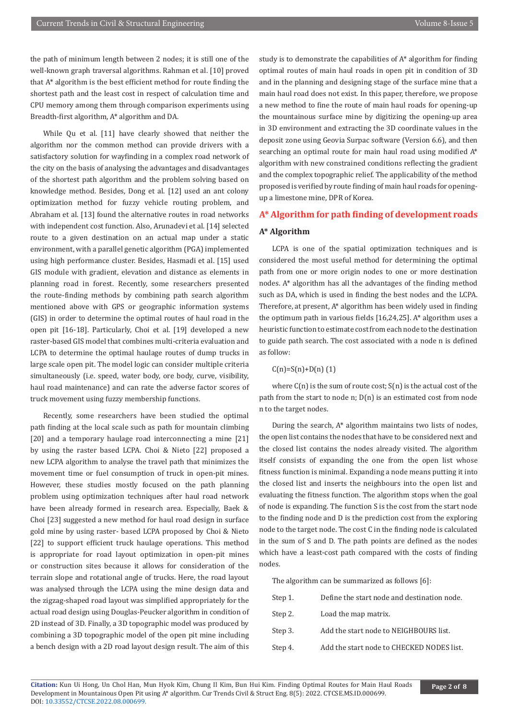the path of minimum length between 2 nodes; it is still one of the well-known graph traversal algorithms. Rahman et al. [10] proved that A\* algorithm is the best efficient method for route finding the shortest path and the least cost in respect of calculation time and CPU memory among them through comparison experiments using Breadth-first algorithm, A\* algorithm and DA.

While Qu et al. [11] have clearly showed that neither the algorithm nor the common method can provide drivers with a satisfactory solution for wayfinding in a complex road network of the city on the basis of analysing the advantages and disadvantages of the shortest path algorithm and the problem solving based on knowledge method. Besides, Dong et al. [12] used an ant colony optimization method for fuzzy vehicle routing problem, and Abraham et al. [13] found the alternative routes in road networks with independent cost function. Also, Arunadevi et al. [14] selected route to a given destination on an actual map under a static environment, with a parallel genetic algorithm (PGA) implemented using high performance cluster. Besides, Hasmadi et al. [15] used GIS module with gradient, elevation and distance as elements in planning road in forest. Recently, some researchers presented the route-finding methods by combining path search algorithm mentioned above with GPS or geographic information systems (GIS) in order to determine the optimal routes of haul road in the open pit [16-18]. Particularly, Choi et al. [19] developed a new raster-based GIS model that combines multi-criteria evaluation and LCPA to determine the optimal haulage routes of dump trucks in large scale open pit. The model logic can consider multiple criteria simultaneously (i.e. speed, water body, ore body, curve, visibility, haul road maintenance) and can rate the adverse factor scores of truck movement using fuzzy membership functions.

Recently, some researchers have been studied the optimal path finding at the local scale such as path for mountain climbing [20] and a temporary haulage road interconnecting a mine [21] by using the raster based LCPA. Choi & Nieto [22] proposed a new LCPA algorithm to analyse the travel path that minimizes the movement time or fuel consumption of truck in open-pit mines. However, these studies mostly focused on the path planning problem using optimization techniques after haul road network have been already formed in research area. Especially, Baek & Choi [23] suggested a new method for haul road design in surface gold mine by using raster- based LCPA proposed by Choi & Nieto [22] to support efficient truck haulage operations. This method is appropriate for road layout optimization in open-pit mines or construction sites because it allows for consideration of the terrain slope and rotational angle of trucks. Here, the road layout was analysed through the LCPA using the mine design data and the zigzag-shaped road layout was simplified appropriately for the actual road design using Douglas-Peucker algorithm in condition of 2D instead of 3D. Finally, a 3D topographic model was produced by combining a 3D topographic model of the open pit mine including a bench design with a 2D road layout design result. The aim of this

study is to demonstrate the capabilities of A\* algorithm for finding optimal routes of main haul roads in open pit in condition of 3D and in the planning and designing stage of the surface mine that a main haul road does not exist. In this paper, therefore, we propose a new method to fine the route of main haul roads for opening-up the mountainous surface mine by digitizing the opening-up area in 3D environment and extracting the 3D coordinate values in the deposit zone using Geovia Surpac software (Version 6.6), and then searching an optimal route for main haul road using modified A\* algorithm with new constrained conditions reflecting the gradient and the complex topographic relief. The applicability of the method proposed is verified by route finding of main haul roads for openingup a limestone mine, DPR of Korea.

#### **A\* Algorithm for path finding of development roads**

#### **A\* Algorithm**

LCPA is one of the spatial optimization techniques and is considered the most useful method for determining the optimal path from one or more origin nodes to one or more destination nodes. A\* algorithm has all the advantages of the finding method such as DA, which is used in finding the best nodes and the LCPA. Therefore, at present, A\* algorithm has been widely used in finding the optimum path in various fields [16,24,25]. A\* algorithm uses a heuristic function to estimate cost from each node to the destination to guide path search. The cost associated with a node n is defined as follow:

## $C(n)=S(n)+D(n)$  (1)

where  $C(n)$  is the sum of route cost;  $S(n)$  is the actual cost of the path from the start to node n; D(n) is an estimated cost from node n to the target nodes.

During the search, A\* algorithm maintains two lists of nodes, the open list contains the nodes that have to be considered next and the closed list contains the nodes already visited. The algorithm itself consists of expanding the one from the open list whose fitness function is minimal. Expanding a node means putting it into the closed list and inserts the neighbours into the open list and evaluating the fitness function. The algorithm stops when the goal of node is expanding. The function S is the cost from the start node to the finding node and D is the prediction cost from the exploring node to the target node. The cost C in the finding node is calculated in the sum of S and D. The path points are defined as the nodes which have a least-cost path compared with the costs of finding nodes.

The algorithm can be summarized as follows [6]:

| Step 1. | Define the start node and destination node. |
|---------|---------------------------------------------|
| Step 2. | Load the map matrix.                        |
| Step 3. | Add the start node to NEIGHBOURS list.      |
| Step 4. | Add the start node to CHECKED NODES list.   |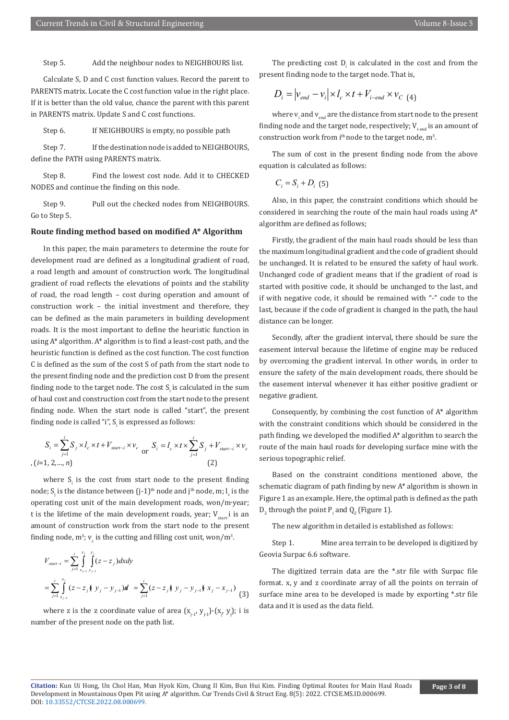Step 5. Add the neighbour nodes to NEIGHBOURS list.

Calculate S, D and C cost function values. Record the parent to PARENTS matrix. Locate the C cost function value in the right place. If it is better than the old value, chance the parent with this parent in PARENTS matrix. Update S and C cost functions.

Step 6. If NEIGHBOURS is empty, no possible path

Step 7. If the destination node is added to NEIGHBOURS, define the PATH using PARENTS matrix.

Step 8. Find the lowest cost node. Add it to CHECKED NODES and continue the finding on this node.

Step 9. Pull out the checked nodes from NEIGHBOURS. Go to Step 5.

#### **Route finding method based on modified A\* Algorithm**

In this paper, the main parameters to determine the route for development road are defined as a longitudinal gradient of road, a road length and amount of construction work. The longitudinal gradient of road reflects the elevations of points and the stability of road, the road length – cost during operation and amount of construction work – the initial investment and therefore, they can be defined as the main parameters in building development roads. It is the most important to define the heuristic function in using A\* algorithm. A\* algorithm is to find a least-cost path, and the heuristic function is defined as the cost function. The cost function C is defined as the sum of the cost S of path from the start node to the present finding node and the prediction cost D from the present finding node to the target node. The cost  $\boldsymbol{\mathrm{S}}_{\mathrm{i}}$  is calculated in the sum of haul cost and construction cost from the start node to the present finding node. When the start node is called "start", the present finding node is called "i",  $\boldsymbol{\mathrm{S}}_{\text{i}}$  is expressed as follows:

$$
S_{i} = \sum_{j=1}^{i} S_{j} \times l_{c} \times t + V_{start-i} \times v_{c} \text{ or } S_{i} = l_{c} \times t \times \sum_{j=1}^{i} S_{j} + V_{start-i} \times v_{c}
$$
  
, (i=1, 2,..., n) (2)

where  $S_i$  is the cost from start node to the present finding node; S<sub>j</sub> is the distance between (j-1)<sup>th</sup> node and j<sup>th</sup> node, m; l<sub>c</sub> is the operating cost unit of the main development roads, won/m∙year; t is the lifetime of the main development roads, year;  $V_{start}$  is an amount of construction work from the start node to the present finding node,  $m^3$ ;  $v_c$  is the cutting and filling cost unit, won/ $m^3$ .

$$
V_{start-i} = \sum_{j=1}^{i} \int_{x_{j-1}}^{x_j} \int_{y_{j-1}}^{y_j} (z - z_j) dx dy
$$
  
= 
$$
\sum_{j=1}^{i} \int_{x_{j-1}}^{x_j} (z - z_j) \int_{y_j}^{x_j} (y_j - y_{j-1}) dy = \sum_{j=1}^{i} (z - z_j) \int_{y_j}^{x_j} (y_j - y_{j-1}) dy = \sum_{j=1}^{i} (z - z_j) \int_{y_j}^{x_j} (y_j - y_{j-1}) dy
$$
 (3)

where z is the z coordinate value of area  $(x_{j+1}, y_{j+1})$ - $(x_j, y_j)$ ; i is number of the present node on the path list.

The predicting cost  $D_i$  is calculated in the cost and from the present finding node to the target node. That is,

$$
D_i = |v_{end} - v_i| \times l_c \times t + V_{i-end} \times v_{C(4)}
$$

where  ${\rm v_i}$  and  ${\rm v_{end}}$  are the distance from start node to the present finding node and the target node, respectively;  $V_{i\text{-end}}$  is an amount of construction work from  $i<sup>th</sup>$  node to the target node,  $m<sup>3</sup>$ .

The sum of cost in the present finding node from the above equation is calculated as follows:

 $C_i = S_i + D_i$  (5)

Also, in this paper, the constraint conditions which should be considered in searching the route of the main haul roads using A\* algorithm are defined as follows;

Firstly, the gradient of the main haul roads should be less than the maximum longitudinal gradient and the code of gradient should be unchanged. It is related to be ensured the safety of haul work. Unchanged code of gradient means that if the gradient of road is started with positive code, it should be unchanged to the last, and if with negative code, it should be remained with "-" code to the last, because if the code of gradient is changed in the path, the haul distance can be longer.

Secondly, after the gradient interval, there should be sure the easement interval because the lifetime of engine may be reduced by overcoming the gradient interval. In other words, in order to ensure the safety of the main development roads, there should be the easement interval whenever it has either positive gradient or negative gradient.

Consequently, by combining the cost function of A\* algorithm with the constraint conditions which should be considered in the path finding, we developed the modified A\* algorithm to search the route of the main haul roads for developing surface mine with the serious topographic relief.

Based on the constraint conditions mentioned above, the schematic diagram of path finding by new A\* algorithm is shown in Figure 1 as an example. Here, the optimal path is defined as the path  $D_2$  through the point  $P_i$  and  $Q_2$  (Figure 1).

The new algorithm in detailed is established as follows:

Step 1. Mine area terrain to be developed is digitized by Geovia Surpac 6.6 software.

The digitized terrain data are the \*.str file with Surpac file format. x, y and z coordinate array of all the points on terrain of surface mine area to be developed is made by exporting \*.str file data and it is used as the data field.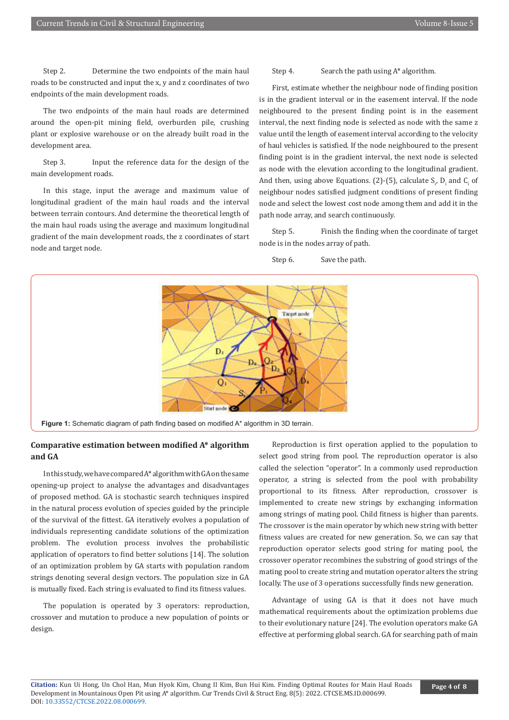Step 2. Determine the two endpoints of the main haul roads to be constructed and input the x, y and z coordinates of two endpoints of the main development roads.

The two endpoints of the main haul roads are determined around the open-pit mining field, overburden pile, crushing plant or explosive warehouse or on the already built road in the development area.

Step 3. Input the reference data for the design of the main development roads.

In this stage, input the average and maximum value of longitudinal gradient of the main haul roads and the interval between terrain contours. And determine the theoretical length of the main haul roads using the average and maximum longitudinal gradient of the main development roads, the z coordinates of start node and target node.

#### Step 4. Search the path using A\* algorithm.

First, estimate whether the neighbour node of finding position is in the gradient interval or in the easement interval. If the node neighboured to the present finding point is in the easement interval, the next finding node is selected as node with the same z value until the length of easement interval according to the velocity of haul vehicles is satisfied. If the node neighboured to the present finding point is in the gradient interval, the next node is selected as node with the elevation according to the longitudinal gradient. And then, using above Equations. (2)-(5), calculate  $S_p$   $D_i$  and  $C_i$  of neighbour nodes satisfied judgment conditions of present finding node and select the lowest cost node among them and add it in the path node array, and search continuously.

Step 5. Finish the finding when the coordinate of target node is in the nodes array of path.

Step 6. Save the path.



## **Comparative estimation between modified A\* algorithm and GA**

In this study, we have compared A\* algorithm with GA on the same opening-up project to analyse the advantages and disadvantages of proposed method. GA is stochastic search techniques inspired in the natural process evolution of species guided by the principle of the survival of the fittest. GA iteratively evolves a population of individuals representing candidate solutions of the optimization problem. The evolution process involves the probabilistic application of operators to find better solutions [14]. The solution of an optimization problem by GA starts with population random strings denoting several design vectors. The population size in GA is mutually fixed. Each string is evaluated to find its fitness values.

The population is operated by 3 operators: reproduction, crossover and mutation to produce a new population of points or design.

Reproduction is first operation applied to the population to select good string from pool. The reproduction operator is also called the selection "operator". In a commonly used reproduction operator, a string is selected from the pool with probability proportional to its fitness. After reproduction, crossover is implemented to create new strings by exchanging information among strings of mating pool. Child fitness is higher than parents. The crossover is the main operator by which new string with better fitness values are created for new generation. So, we can say that reproduction operator selects good string for mating pool, the crossover operator recombines the substring of good strings of the mating pool to create string and mutation operator alters the string locally. The use of 3 operations successfully finds new generation.

Advantage of using GA is that it does not have much mathematical requirements about the optimization problems due to their evolutionary nature [24]. The evolution operators make GA effective at performing global search. GA for searching path of main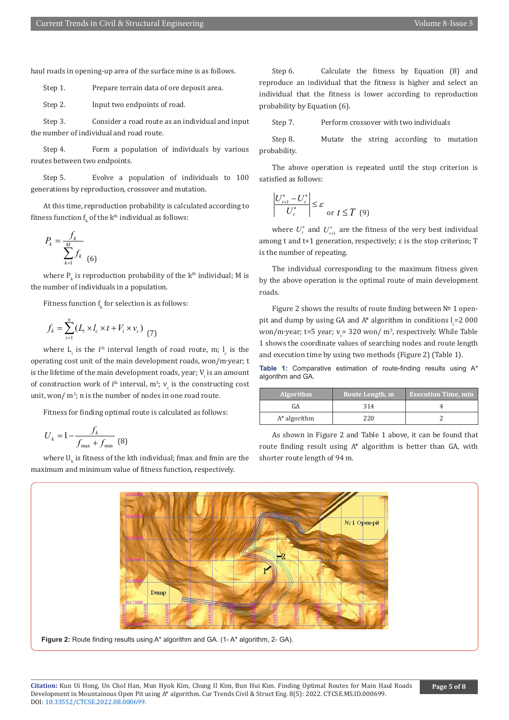haul roads in opening-up area of the surface mine is as follows.

Step 1. Prepare terrain data of ore deposit area.

Step 2. Input two endpoints of road.

Step 3. Consider a road route as an individual and input the number of individual and road route.

Step 4. Form a population of individuals by various routes between two endpoints.

Step 5. Evolve a population of individuals to 100 generations by reproduction, crossover and mutation.

At this time, reproduction probability is calculated according to fitness function  $f_{k}$  of the  $k^{\text{th}}$  individual as follows:

$$
P_k = \frac{f_k}{\sum_{k=1}^{M} f_k}
$$
 (6)

where  $P_k$  is reproduction probability of the k<sup>th</sup> individual; M is the number of individuals in a population.

Fitness function  ${\rm t_k}$  for selection is as follows:

$$
f_k = \sum_{i=1}^n (L_i \times l_c \times t + V_i \times v_c) \tag{7}
$$

where  $L_i$  is the i<sup>th</sup> interval length of road route, m;  $L_c$  is the operating cost unit of the main development roads, won/m∙year; t is the lifetime of the main development roads, year;  $V_i$  is an amount of construction work of i<sup>th</sup> interval,  $m^3$ ;  $v_c$  is the constructing cost unit, won/  $m^3$ ; n is the number of nodes in one road route.

Fitness for finding optimal route is calculated as follows:

$$
U_k = 1 - \frac{f_k}{f_{\text{max}} + f_{\text{min}}}
$$
 (8)

where  $U_{k}$  is fitness of the kth individual; fmax and fmin are the maximum and minimum value of fitness function, respectively.

Step 6. Calculate the fitness by Equation (8) and reproduce an individual that the fitness is higher and select an individual that the fitness is lower according to reproduction probability by Equation (6).

Step 7. Perform crossover with two individuals

Step 8. Mutate the string according to mutation probability.

The above operation is repeated until the stop criterion is satisfied as follows:

$$
\left|\frac{U_{t+1}^* - U_t^*}{U_t^*}\right| \leq \varepsilon
$$
 or  $t \leq T$  (9)

where  $U_t^*$  and  $U_{t+1}^*$  are the fitness of the very best individual among t and t+1 generation, respectively; ε is the stop criterion; T is the number of repeating.

The individual corresponding to the maximum fitness given by the above operation is the optimal route of main development roads.

Figure 2 shows the results of route finding between № 1 openpit and dump by using GA and A\* algorithm in conditions  $I_c = 2000$ won/m∙year; t=5 year; v<sub>c</sub>= 320 won/ m<sup>3</sup>, respectively. While Table 1 shows the coordinate values of searching nodes and route length and execution time by using two methods (Figure 2) (Table 1).

**Table 1:** Comparative estimation of route-finding results using A\* algorithm and GA.

| <b>Algorithm</b> | Route Length, m | <b>Execution Time, min</b> |
|------------------|-----------------|----------------------------|
| GА               | 314             |                            |
| $A^*$ algorithm  | 220.            |                            |

As shown in Figure 2 and Table 1 above, it can be found that route finding result using A\* algorithm is better than GA, with shorter route length of 94 m.



**Figure 2:** Route finding results using A\* algorithm and GA. (1- A\* algorithm, 2- GA).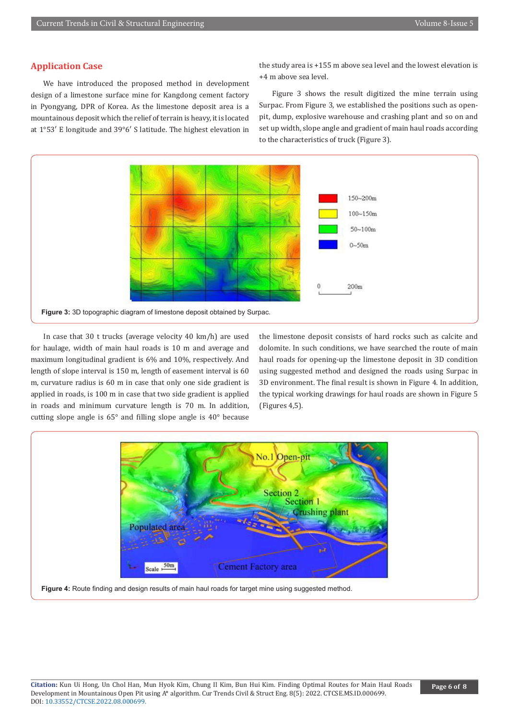## **Application Case**

We have introduced the proposed method in development design of a limestone surface mine for Kangdong cement factory in Pyongyang, DPR of Korea. As the limestone deposit area is a mountainous deposit which the relief of terrain is heavy, it is located at 1°53′ E longitude and 39°6′ S latitude. The highest elevation in the study area is +155 m above sea level and the lowest elevation is +4 m above sea level.

Figure 3 shows the result digitized the mine terrain using Surpac. From Figure 3, we established the positions such as openpit, dump, explosive warehouse and crashing plant and so on and set up width, slope angle and gradient of main haul roads according to the characteristics of truck (Figure 3).



In case that 30 t trucks (average velocity 40 km/h) are used for haulage, width of main haul roads is 10 m and average and maximum longitudinal gradient is 6% and 10%, respectively. And length of slope interval is 150 m, length of easement interval is 60 m, curvature radius is 60 m in case that only one side gradient is applied in roads, is 100 m in case that two side gradient is applied in roads and minimum curvature length is 70 m. In addition, cutting slope angle is 65° and filling slope angle is 40° because

the limestone deposit consists of hard rocks such as calcite and dolomite. In such conditions, we have searched the route of main haul roads for opening-up the limestone deposit in 3D condition using suggested method and designed the roads using Surpac in 3D environment. The final result is shown in Figure 4. In addition, the typical working drawings for haul roads are shown in Figure 5 (Figures 4,5).

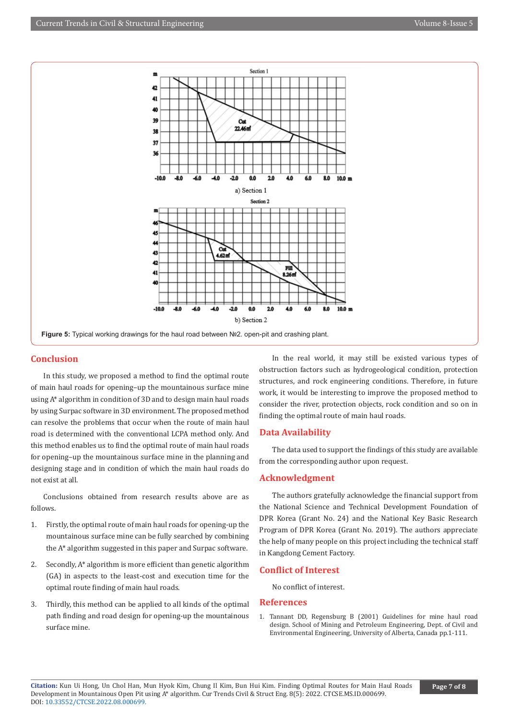

## **Conclusion**

In this study, we proposed a method to find the optimal route of main haul roads for opening–up the mountainous surface mine using A\* algorithm in condition of 3D and to design main haul roads by using Surpac software in 3D environment. The proposed method can resolve the problems that occur when the route of main haul road is determined with the conventional LCPA method only. And this method enables us to find the optimal route of main haul roads for opening–up the mountainous surface mine in the planning and designing stage and in condition of which the main haul roads do not exist at all.

Conclusions obtained from research results above are as follows.

- 1. Firstly, the optimal route of main haul roads for opening-up the mountainous surface mine can be fully searched by combining the A\* algorithm suggested in this paper and Surpac software.
- 2. Secondly, A\* algorithm is more efficient than genetic algorithm (GA) in aspects to the least-cost and execution time for the optimal route finding of main haul roads.
- 3. Thirdly, this method can be applied to all kinds of the optimal path finding and road design for opening-up the mountainous surface mine.

In the real world, it may still be existed various types of obstruction factors such as hydrogeological condition, protection structures, and rock engineering conditions. Therefore, in future work, it would be interesting to improve the proposed method to consider the river, protection objects, rock condition and so on in finding the optimal route of main haul roads.

## **Data Availability**

The data used to support the findings of this study are available from the corresponding author upon request.

## **Acknowledgment**

The authors gratefully acknowledge the financial support from the National Science and Technical Development Foundation of DPR Korea (Grant No. 24) and the National Key Basic Research Program of DPR Korea (Grant No. 2019). The authors appreciate the help of many people on this project including the technical staff in Kangdong Cement Factory.

### **Conflict of Interest**

No conflict of interest.

#### **References**

1. Tannant DD, Regensburg B (2001) Guidelines for mine haul road design. School of Mining and Petroleum Engineering, Dept. of Civil and Environmental Engineering, University of Alberta, Canada pp.1-111.